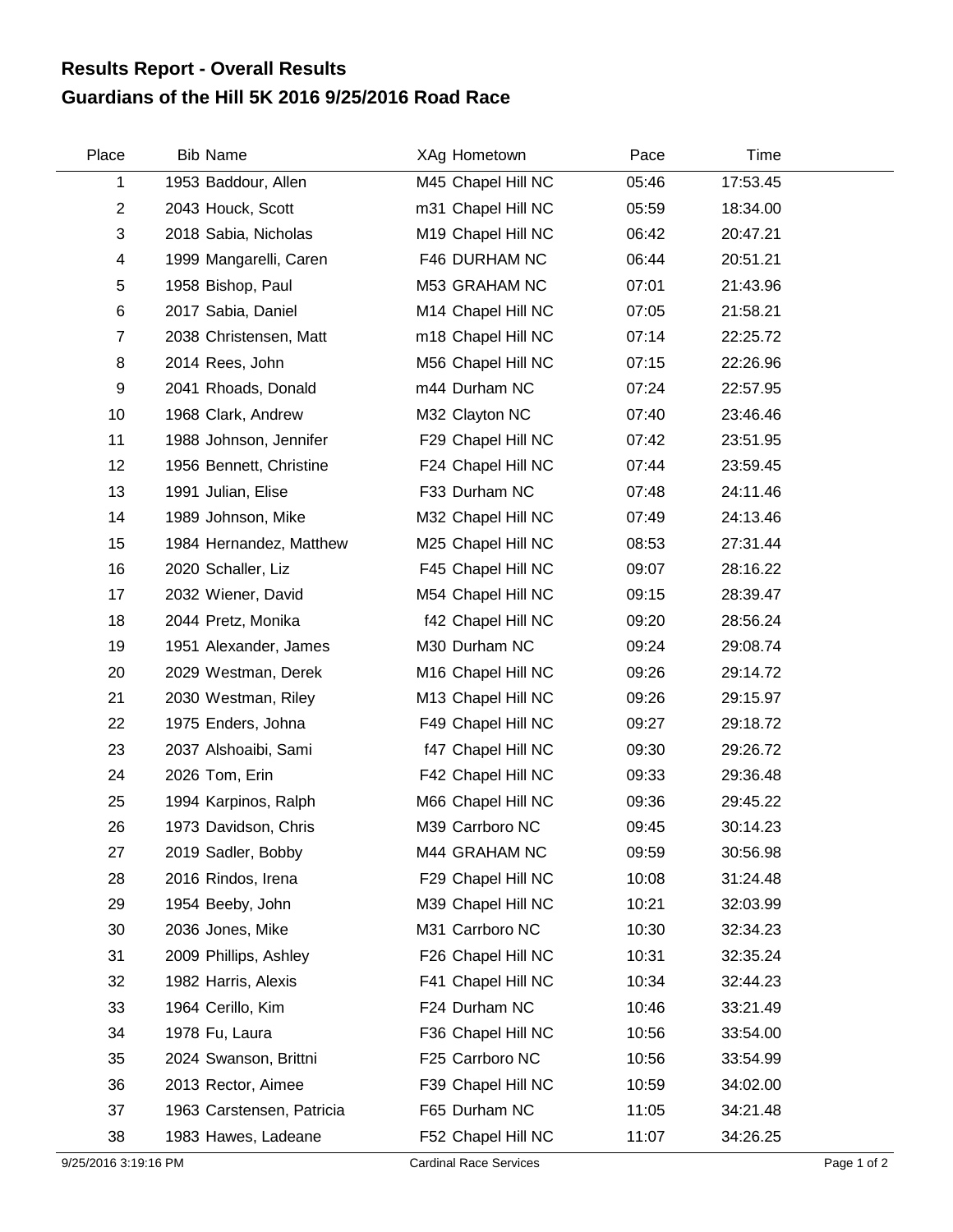## **Guardians of the Hill 5K 2016 9/25/2016 Road Race Results Report - Overall Results**

| Place          | <b>Bib Name</b>           | XAg Hometown       | Pace  | Time     |  |
|----------------|---------------------------|--------------------|-------|----------|--|
| 1              | 1953 Baddour, Allen       | M45 Chapel Hill NC | 05:46 | 17:53.45 |  |
| $\overline{2}$ | 2043 Houck, Scott         | m31 Chapel Hill NC | 05:59 | 18:34.00 |  |
| 3              | 2018 Sabia, Nicholas      | M19 Chapel Hill NC | 06:42 | 20:47.21 |  |
| 4              | 1999 Mangarelli, Caren    | F46 DURHAM NC      | 06:44 | 20:51.21 |  |
| 5              | 1958 Bishop, Paul         | M53 GRAHAM NC      | 07:01 | 21:43.96 |  |
| 6              | 2017 Sabia, Daniel        | M14 Chapel Hill NC | 07:05 | 21:58.21 |  |
| $\overline{7}$ | 2038 Christensen, Matt    | m18 Chapel Hill NC | 07:14 | 22:25.72 |  |
| 8              | 2014 Rees, John           | M56 Chapel Hill NC | 07:15 | 22:26.96 |  |
| 9              | 2041 Rhoads, Donald       | m44 Durham NC      | 07:24 | 22:57.95 |  |
| 10             | 1968 Clark, Andrew        | M32 Clayton NC     | 07:40 | 23:46.46 |  |
| 11             | 1988 Johnson, Jennifer    | F29 Chapel Hill NC | 07:42 | 23:51.95 |  |
| 12             | 1956 Bennett, Christine   | F24 Chapel Hill NC | 07:44 | 23:59.45 |  |
| 13             | 1991 Julian, Elise        | F33 Durham NC      | 07:48 | 24:11.46 |  |
| 14             | 1989 Johnson, Mike        | M32 Chapel Hill NC | 07:49 | 24:13.46 |  |
| 15             | 1984 Hernandez, Matthew   | M25 Chapel Hill NC | 08:53 | 27:31.44 |  |
| 16             | 2020 Schaller, Liz        | F45 Chapel Hill NC | 09:07 | 28:16.22 |  |
| 17             | 2032 Wiener, David        | M54 Chapel Hill NC | 09:15 | 28:39.47 |  |
| 18             | 2044 Pretz, Monika        | f42 Chapel Hill NC | 09:20 | 28:56.24 |  |
| 19             | 1951 Alexander, James     | M30 Durham NC      | 09:24 | 29:08.74 |  |
| 20             | 2029 Westman, Derek       | M16 Chapel Hill NC | 09:26 | 29:14.72 |  |
| 21             | 2030 Westman, Riley       | M13 Chapel Hill NC | 09:26 | 29:15.97 |  |
| 22             | 1975 Enders, Johna        | F49 Chapel Hill NC | 09:27 | 29:18.72 |  |
| 23             | 2037 Alshoaibi, Sami      | f47 Chapel Hill NC | 09:30 | 29:26.72 |  |
| 24             | 2026 Tom, Erin            | F42 Chapel Hill NC | 09:33 | 29:36.48 |  |
| 25             | 1994 Karpinos, Ralph      | M66 Chapel Hill NC | 09:36 | 29:45.22 |  |
| 26             | 1973 Davidson, Chris      | M39 Carrboro NC    | 09:45 | 30:14.23 |  |
| 27             | 2019 Sadler, Bobby        | M44 GRAHAM NC      | 09:59 | 30:56.98 |  |
| 28             | 2016 Rindos, Irena        | F29 Chapel Hill NC | 10:08 | 31:24.48 |  |
| 29             | 1954 Beeby, John          | M39 Chapel Hill NC | 10:21 | 32:03.99 |  |
| 30             | 2036 Jones, Mike          | M31 Carrboro NC    | 10:30 | 32:34.23 |  |
| 31             | 2009 Phillips, Ashley     | F26 Chapel Hill NC | 10:31 | 32:35.24 |  |
| 32             | 1982 Harris, Alexis       | F41 Chapel Hill NC | 10:34 | 32:44.23 |  |
| 33             | 1964 Cerillo, Kim         | F24 Durham NC      | 10:46 | 33:21.49 |  |
| 34             | 1978 Fu, Laura            | F36 Chapel Hill NC | 10:56 | 33:54.00 |  |
| 35             | 2024 Swanson, Brittni     | F25 Carrboro NC    | 10:56 | 33:54.99 |  |
| 36             | 2013 Rector, Aimee        | F39 Chapel Hill NC | 10:59 | 34:02.00 |  |
| 37             | 1963 Carstensen, Patricia | F65 Durham NC      | 11:05 | 34:21.48 |  |
| 38             | 1983 Hawes, Ladeane       | F52 Chapel Hill NC | 11:07 | 34:26.25 |  |